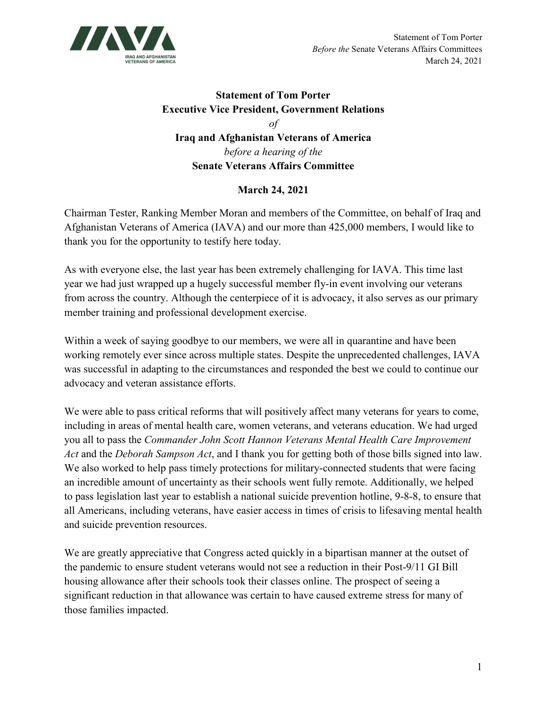

## **Statement of Tom Porter Executive Vice President, Government Relations** *of* **Iraq and Afghanistan Veterans of America**  *before a hearing of the*  **Senate Veterans Affairs Committee**

## **March 24, 2021**

Chairman Tester, Ranking Member Moran and members of the Committee, on behalf of Iraq and Afghanistan Veterans of America (IAVA) and our more than 425,000 members, I would like to thank you for the opportunity to testify here today.

As with everyone else, the last year has been extremely challenging for IAVA. This time last year we had just wrapped up a hugely successful member fly-in event involving our veterans from across the country. Although the centerpiece of it is advocacy, it also serves as our primary member training and professional development exercise.

Within a week of saying goodbye to our members, we were all in quarantine and have been working remotely ever since across multiple states. Despite the unprecedented challenges, IAVA was successful in adapting to the circumstances and responded the best we could to continue our advocacy and veteran assistance efforts.

We were able to pass critical reforms that will positively affect many veterans for years to come, including in areas of mental health care, women veterans, and veterans education. We had urged you all to pass the *Commander John Scott Hannon Veterans Mental Health Care Improvement Act* and the *Deborah Sampson Act*, and I thank you for getting both of those bills signed into law. We also worked to help pass timely protections for military-connected students that were facing an incredible amount of uncertainty as their schools went fully remote. Additionally, we helped to pass legislation last year to establish a national suicide prevention hotline, 9-8-8, to ensure that all Americans, including veterans, have easier access in times of crisis to lifesaving mental health and suicide prevention resources.

We are greatly appreciative that Congress acted quickly in a bipartisan manner at the outset of the pandemic to ensure student veterans would not see a reduction in their Post-9/11 GI Bill housing allowance after their schools took their classes online. The prospect of seeing a significant reduction in that allowance was certain to have caused extreme stress for many of those families impacted.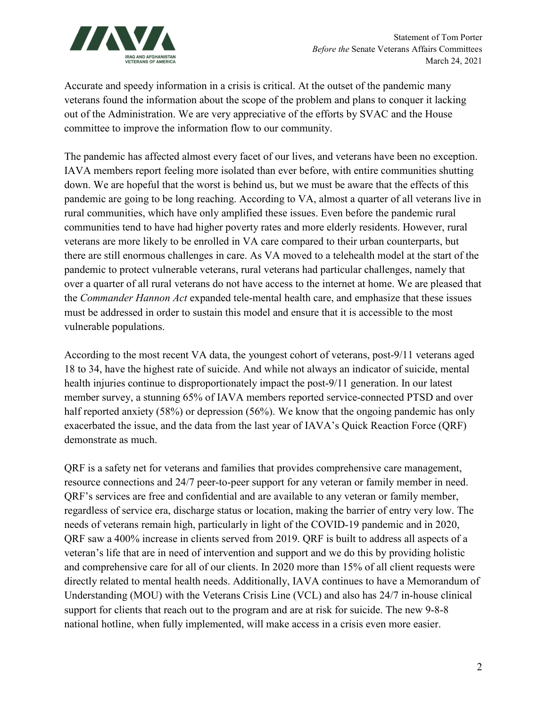

Accurate and speedy information in a crisis is critical. At the outset of the pandemic many veterans found the information about the scope of the problem and plans to conquer it lacking out of the Administration. We are very appreciative of the efforts by SVAC and the House committee to improve the information flow to our community.

The pandemic has affected almost every facet of our lives, and veterans have been no exception. IAVA members report feeling more isolated than ever before, with entire communities shutting down. We are hopeful that the worst is behind us, but we must be aware that the effects of this pandemic are going to be long reaching. According to VA, almost a quarter of all veterans live in rural communities, which have only amplified these issues. Even before the pandemic rural communities tend to have had higher poverty rates and more elderly residents. However, rural veterans are more likely to be enrolled in VA care compared to their urban counterparts, but there are still enormous challenges in care. As VA moved to a telehealth model at the start of the pandemic to protect vulnerable veterans, rural veterans had particular challenges, namely that over a quarter of all rural veterans do not have access to the internet at home. We are pleased that the *Commander Hannon Act* expanded tele-mental health care, and emphasize that these issues must be addressed in order to sustain this model and ensure that it is accessible to the most vulnerable populations.

According to the most recent VA data, the youngest cohort of veterans, post-9/11 veterans aged 18 to 34, have the highest rate of suicide. And while not always an indicator of suicide, mental health injuries continue to disproportionately impact the post-9/11 generation. In our latest member survey, a stunning 65% of IAVA members reported service-connected PTSD and over half reported anxiety (58%) or depression (56%). We know that the ongoing pandemic has only exacerbated the issue, and the data from the last year of IAVA's Quick Reaction Force (QRF) demonstrate as much.

QRF is a safety net for veterans and families that provides comprehensive care management, resource connections and 24/7 peer-to-peer support for any veteran or family member in need. QRF's services are free and confidential and are available to any veteran or family member, regardless of service era, discharge status or location, making the barrier of entry very low. The needs of veterans remain high, particularly in light of the COVID-19 pandemic and in 2020, QRF saw a 400% increase in clients served from 2019. QRF is built to address all aspects of a veteran's life that are in need of intervention and support and we do this by providing holistic and comprehensive care for all of our clients. In 2020 more than 15% of all client requests were directly related to mental health needs. Additionally, IAVA continues to have a Memorandum of Understanding (MOU) with the Veterans Crisis Line (VCL) and also has 24/7 in-house clinical support for clients that reach out to the program and are at risk for suicide. The new 9-8-8 national hotline, when fully implemented, will make access in a crisis even more easier.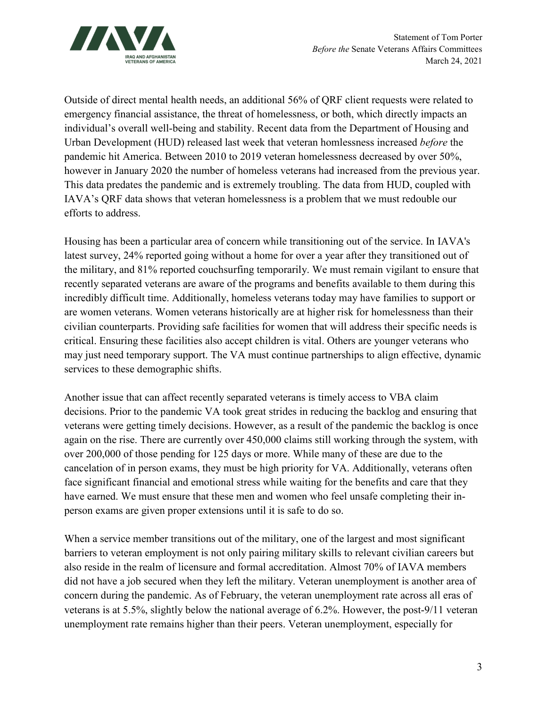

Outside of direct mental health needs, an additional 56% of QRF client requests were related to emergency financial assistance, the threat of homelessness, or both, which directly impacts an individual's overall well-being and stability. Recent data from the Department of Housing and Urban Development (HUD) released last week that veteran homlessness increased *before* the pandemic hit America. Between 2010 to 2019 veteran homelessness decreased by over 50%, however in January 2020 the number of homeless veterans had increased from the previous year. This data predates the pandemic and is extremely troubling. The data from HUD, coupled with IAVA's QRF data shows that veteran homelessness is a problem that we must redouble our efforts to address.

Housing has been a particular area of concern while transitioning out of the service. In IAVA's latest survey, 24% reported going without a home for over a year after they transitioned out of the military, and 81% reported couchsurfing temporarily. We must remain vigilant to ensure that recently separated veterans are aware of the programs and benefits available to them during this incredibly difficult time. Additionally, homeless veterans today may have families to support or are women veterans. Women veterans historically are at higher risk for homelessness than their civilian counterparts. Providing safe facilities for women that will address their specific needs is critical. Ensuring these facilities also accept children is vital. Others are younger veterans who may just need temporary support. The VA must continue partnerships to align effective, dynamic services to these demographic shifts.

Another issue that can affect recently separated veterans is timely access to VBA claim decisions. Prior to the pandemic VA took great strides in reducing the backlog and ensuring that veterans were getting timely decisions. However, as a result of the pandemic the backlog is once again on the rise. There are currently over 450,000 claims still working through the system, with over 200,000 of those pending for 125 days or more. While many of these are due to the cancelation of in person exams, they must be high priority for VA. Additionally, veterans often face significant financial and emotional stress while waiting for the benefits and care that they have earned. We must ensure that these men and women who feel unsafe completing their inperson exams are given proper extensions until it is safe to do so.

When a service member transitions out of the military, one of the largest and most significant barriers to veteran employment is not only pairing military skills to relevant civilian careers but also reside in the realm of licensure and formal accreditation. Almost 70% of IAVA members did not have a job secured when they left the military. Veteran unemployment is another area of concern during the pandemic. As of February, the veteran unemployment rate across all eras of veterans is at 5.5%, slightly below the national average of 6.2%. However, the post-9/11 veteran unemployment rate remains higher than their peers. Veteran unemployment, especially for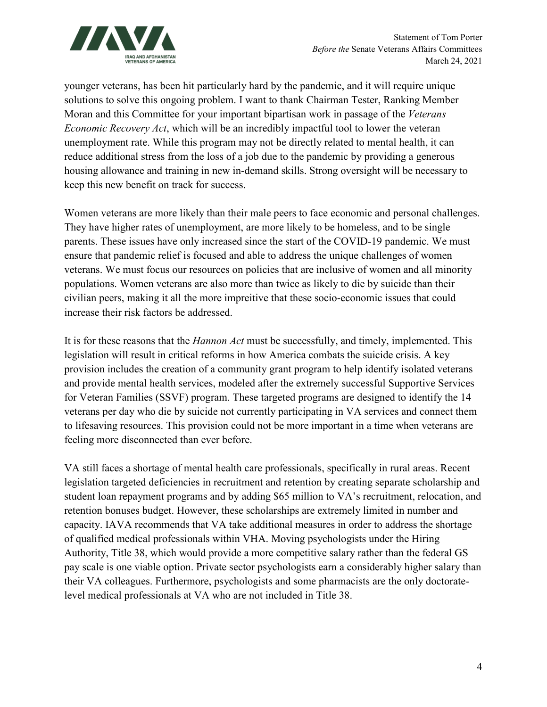

younger veterans, has been hit particularly hard by the pandemic, and it will require unique solutions to solve this ongoing problem. I want to thank Chairman Tester, Ranking Member Moran and this Committee for your important bipartisan work in passage of the *Veterans Economic Recovery Act*, which will be an incredibly impactful tool to lower the veteran unemployment rate. While this program may not be directly related to mental health, it can reduce additional stress from the loss of a job due to the pandemic by providing a generous housing allowance and training in new in-demand skills. Strong oversight will be necessary to keep this new benefit on track for success.

Women veterans are more likely than their male peers to face economic and personal challenges. They have higher rates of unemployment, are more likely to be homeless, and to be single parents. These issues have only increased since the start of the COVID-19 pandemic. We must ensure that pandemic relief is focused and able to address the unique challenges of women veterans. We must focus our resources on policies that are inclusive of women and all minority populations. Women veterans are also more than twice as likely to die by suicide than their civilian peers, making it all the more impreitive that these socio-economic issues that could increase their risk factors be addressed.

It is for these reasons that the *Hannon Act* must be successfully, and timely, implemented. This legislation will result in critical reforms in how America combats the suicide crisis. A key provision includes the creation of a community grant program to help identify isolated veterans and provide mental health services, modeled after the extremely successful Supportive Services for Veteran Families (SSVF) program. These targeted programs are designed to identify the 14 veterans per day who die by suicide not currently participating in VA services and connect them to lifesaving resources. This provision could not be more important in a time when veterans are feeling more disconnected than ever before.

VA still faces a shortage of mental health care professionals, specifically in rural areas. Recent legislation targeted deficiencies in recruitment and retention by creating separate scholarship and student loan repayment programs and by adding \$65 million to VA's recruitment, relocation, and retention bonuses budget. However, these scholarships are extremely limited in number and capacity. IAVA recommends that VA take additional measures in order to address the shortage of qualified medical professionals within VHA. Moving psychologists under the Hiring Authority, Title 38, which would provide a more competitive salary rather than the federal GS pay scale is one viable option. Private sector psychologists earn a considerably higher salary than their VA colleagues. Furthermore, psychologists and some pharmacists are the only doctoratelevel medical professionals at VA who are not included in Title 38.